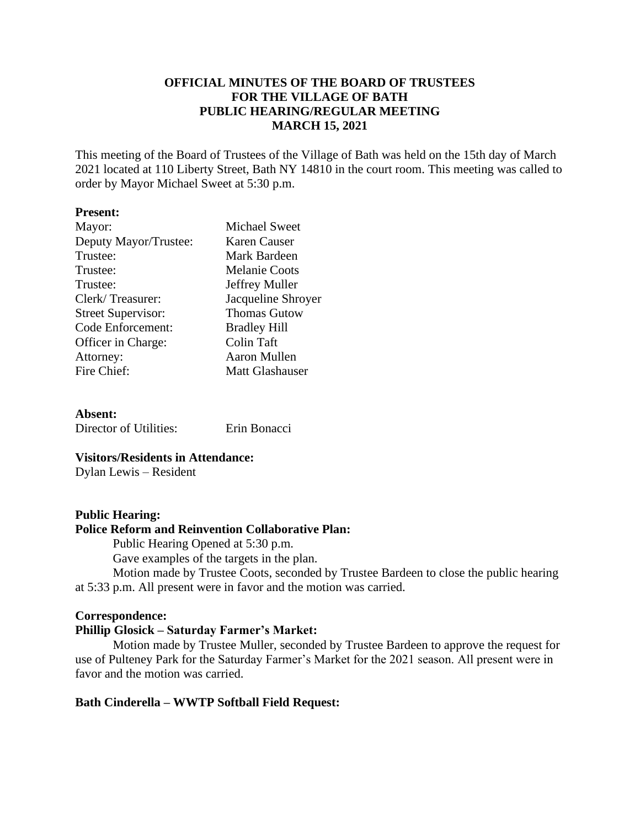# **OFFICIAL MINUTES OF THE BOARD OF TRUSTEES FOR THE VILLAGE OF BATH PUBLIC HEARING/REGULAR MEETING MARCH 15, 2021**

This meeting of the Board of Trustees of the Village of Bath was held on the 15th day of March 2021 located at 110 Liberty Street, Bath NY 14810 in the court room. This meeting was called to order by Mayor Michael Sweet at 5:30 p.m.

### **Present:**

| Mayor:                    | <b>Michael Sweet</b> |
|---------------------------|----------------------|
| Deputy Mayor/Trustee:     | <b>Karen Causer</b>  |
| Trustee:                  | Mark Bardeen         |
| Trustee:                  | <b>Melanie Coots</b> |
| Trustee:                  | Jeffrey Muller       |
| Clerk/Treasurer:          | Jacqueline Shroyer   |
| <b>Street Supervisor:</b> | <b>Thomas Gutow</b>  |
| Code Enforcement:         | <b>Bradley Hill</b>  |
| Officer in Charge:        | Colin Taft           |
| Attorney:                 | Aaron Mullen         |
| Fire Chief:               | Matt Glashauser      |
|                           |                      |

| Absent:                |              |
|------------------------|--------------|
| Director of Utilities: | Erin Bonacci |

### **Visitors/Residents in Attendance:**

Dylan Lewis – Resident

# **Public Hearing:**

## **Police Reform and Reinvention Collaborative Plan:**

Public Hearing Opened at 5:30 p.m.

Gave examples of the targets in the plan.

Motion made by Trustee Coots, seconded by Trustee Bardeen to close the public hearing at 5:33 p.m. All present were in favor and the motion was carried.

### **Correspondence:**

### **Phillip Glosick – Saturday Farmer's Market:**

Motion made by Trustee Muller, seconded by Trustee Bardeen to approve the request for use of Pulteney Park for the Saturday Farmer's Market for the 2021 season. All present were in favor and the motion was carried.

### **Bath Cinderella – WWTP Softball Field Request:**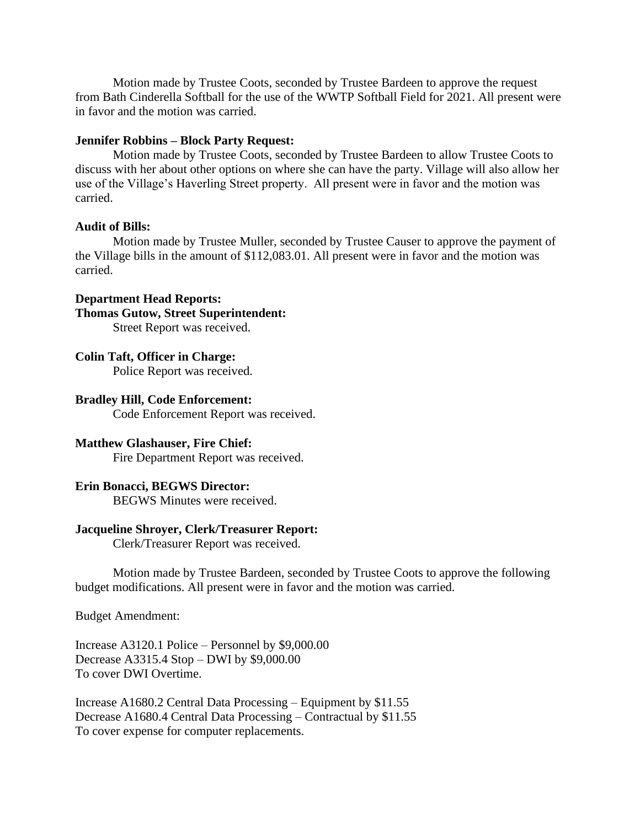Motion made by Trustee Coots, seconded by Trustee Bardeen to approve the request from Bath Cinderella Softball for the use of the WWTP Softball Field for 2021. All present were in favor and the motion was carried.

#### **Jennifer Robbins – Block Party Request:**

Motion made by Trustee Coots, seconded by Trustee Bardeen to allow Trustee Coots to discuss with her about other options on where she can have the party. Village will also allow her use of the Village's Haverling Street property. All present were in favor and the motion was carried.

#### **Audit of Bills:**

Motion made by Trustee Muller, seconded by Trustee Causer to approve the payment of the Village bills in the amount of \$112,083.01. All present were in favor and the motion was carried.

#### **Department Head Reports:**

**Thomas Gutow, Street Superintendent:**

Street Report was received.

### **Colin Taft, Officer in Charge:**

Police Report was received.

#### **Bradley Hill, Code Enforcement:**

Code Enforcement Report was received.

#### **Matthew Glashauser, Fire Chief:**

Fire Department Report was received.

### **Erin Bonacci, BEGWS Director:**

BEGWS Minutes were received.

### **Jacqueline Shroyer, Clerk/Treasurer Report:**

Clerk/Treasurer Report was received.

Motion made by Trustee Bardeen, seconded by Trustee Coots to approve the following budget modifications. All present were in favor and the motion was carried.

Budget Amendment:

Increase A3120.1 Police – Personnel by \$9,000.00 Decrease A3315.4 Stop – DWI by \$9,000.00 To cover DWI Overtime.

Increase A1680.2 Central Data Processing – Equipment by \$11.55 Decrease A1680.4 Central Data Processing – Contractual by \$11.55 To cover expense for computer replacements.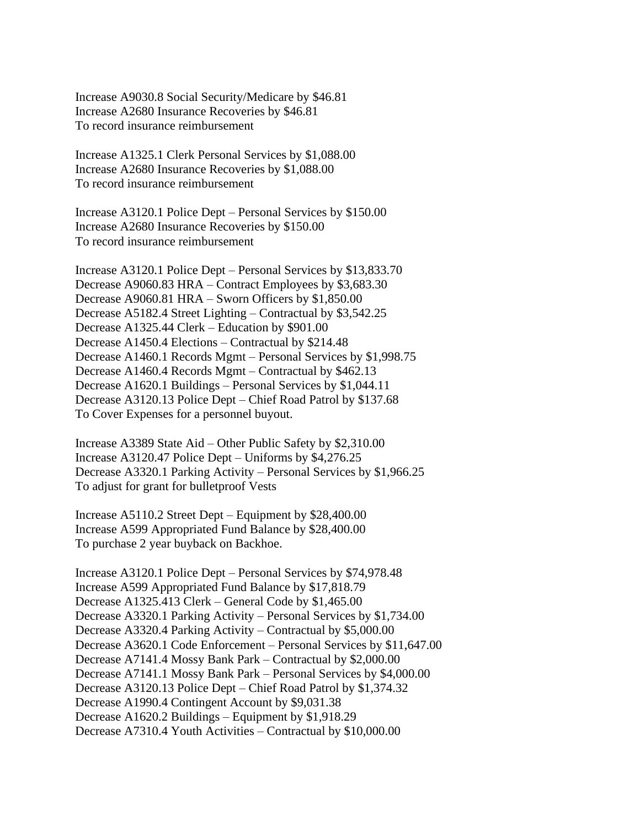Increase A9030.8 Social Security/Medicare by \$46.81 Increase A2680 Insurance Recoveries by \$46.81 To record insurance reimbursement

Increase A1325.1 Clerk Personal Services by \$1,088.00 Increase A2680 Insurance Recoveries by \$1,088.00 To record insurance reimbursement

Increase A3120.1 Police Dept – Personal Services by \$150.00 Increase A2680 Insurance Recoveries by \$150.00 To record insurance reimbursement

Increase A3120.1 Police Dept – Personal Services by \$13,833.70 Decrease A9060.83 HRA – Contract Employees by \$3,683.30 Decrease A9060.81 HRA – Sworn Officers by \$1,850.00 Decrease A5182.4 Street Lighting – Contractual by \$3,542.25 Decrease A1325.44 Clerk – Education by \$901.00 Decrease A1450.4 Elections – Contractual by \$214.48 Decrease A1460.1 Records Mgmt – Personal Services by \$1,998.75 Decrease A1460.4 Records Mgmt – Contractual by \$462.13 Decrease A1620.1 Buildings – Personal Services by \$1,044.11 Decrease A3120.13 Police Dept – Chief Road Patrol by \$137.68 To Cover Expenses for a personnel buyout.

Increase A3389 State Aid – Other Public Safety by \$2,310.00 Increase A3120.47 Police Dept – Uniforms by \$4,276.25 Decrease A3320.1 Parking Activity – Personal Services by \$1,966.25 To adjust for grant for bulletproof Vests

Increase A5110.2 Street Dept – Equipment by \$28,400.00 Increase A599 Appropriated Fund Balance by \$28,400.00 To purchase 2 year buyback on Backhoe.

Increase A3120.1 Police Dept – Personal Services by \$74,978.48 Increase A599 Appropriated Fund Balance by \$17,818.79 Decrease A1325.413 Clerk – General Code by \$1,465.00 Decrease A3320.1 Parking Activity – Personal Services by \$1,734.00 Decrease A3320.4 Parking Activity – Contractual by \$5,000.00 Decrease A3620.1 Code Enforcement – Personal Services by \$11,647.00 Decrease A7141.4 Mossy Bank Park – Contractual by \$2,000.00 Decrease A7141.1 Mossy Bank Park – Personal Services by \$4,000.00 Decrease A3120.13 Police Dept – Chief Road Patrol by \$1,374.32 Decrease A1990.4 Contingent Account by \$9,031.38 Decrease A1620.2 Buildings – Equipment by \$1,918.29 Decrease A7310.4 Youth Activities – Contractual by \$10,000.00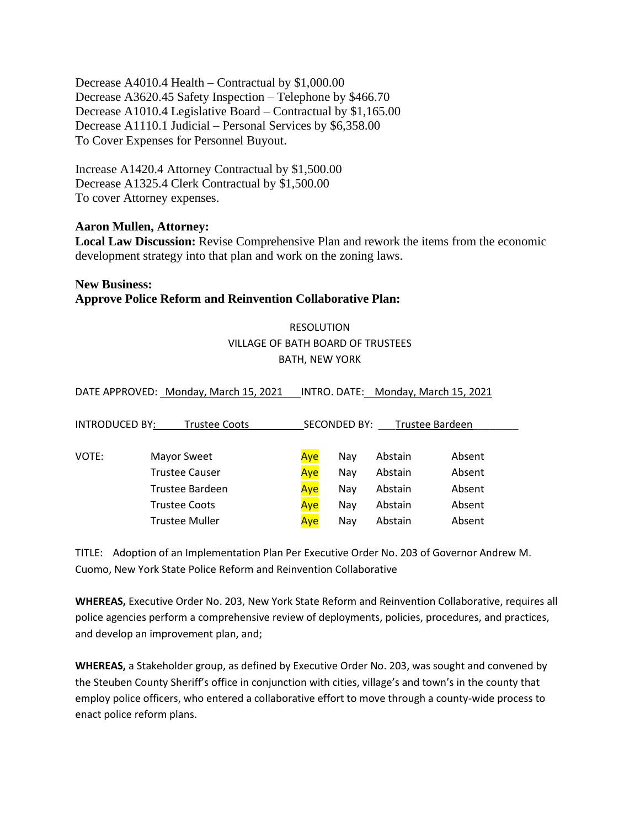Decrease A4010.4 Health – Contractual by \$1,000.00 Decrease A3620.45 Safety Inspection – Telephone by \$466.70 Decrease A1010.4 Legislative Board – Contractual by \$1,165.00 Decrease A1110.1 Judicial – Personal Services by \$6,358.00 To Cover Expenses for Personnel Buyout.

Increase A1420.4 Attorney Contractual by \$1,500.00 Decrease A1325.4 Clerk Contractual by \$1,500.00 To cover Attorney expenses.

# **Aaron Mullen, Attorney:**

**Local Law Discussion:** Revise Comprehensive Plan and rework the items from the economic development strategy into that plan and work on the zoning laws.

# **New Business: Approve Police Reform and Reinvention Collaborative Plan:**

# RESOLUTION VILLAGE OF BATH BOARD OF TRUSTEES BATH, NEW YORK

DATE APPROVED: Monday, March 15, 2021 INTRO. DATE: Monday, March 15, 2021

| INTRODUCED BY: | Trustee Coots         |            | <b>SECONDED BY:</b> | Trustee Bardeen |        |
|----------------|-----------------------|------------|---------------------|-----------------|--------|
| VOTE:          | Mayor Sweet           | Ave        | Nav                 | Abstain         | Absent |
|                | <b>Trustee Causer</b> | Aye        | Nay                 | Abstain         | Absent |
|                | Trustee Bardeen       | Ave        | Nav                 | Abstain         | Absent |
|                | <b>Trustee Coots</b>  | <u>Aye</u> | Nav                 | Abstain         | Absent |
|                | <b>Trustee Muller</b> | Ave        | Nav                 | Abstain         | Absent |

TITLE: Adoption of an Implementation Plan Per Executive Order No. 203 of Governor Andrew M. Cuomo, New York State Police Reform and Reinvention Collaborative

**WHEREAS,** Executive Order No. 203, New York State Reform and Reinvention Collaborative, requires all police agencies perform a comprehensive review of deployments, policies, procedures, and practices, and develop an improvement plan, and;

**WHEREAS,** a Stakeholder group, as defined by Executive Order No. 203, was sought and convened by the Steuben County Sheriff's office in conjunction with cities, village's and town's in the county that employ police officers, who entered a collaborative effort to move through a county-wide process to enact police reform plans.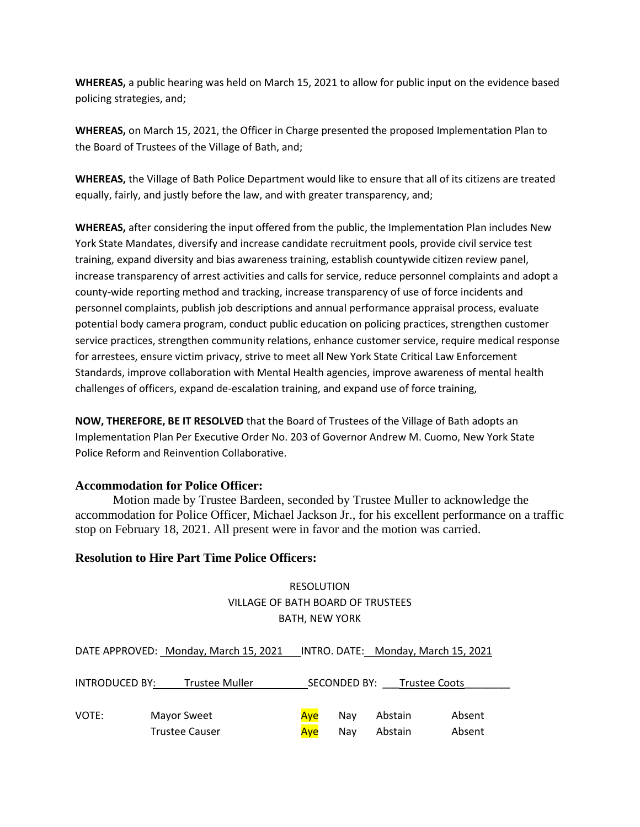**WHEREAS,** a public hearing was held on March 15, 2021 to allow for public input on the evidence based policing strategies, and;

**WHEREAS,** on March 15, 2021, the Officer in Charge presented the proposed Implementation Plan to the Board of Trustees of the Village of Bath, and;

**WHEREAS,** the Village of Bath Police Department would like to ensure that all of its citizens are treated equally, fairly, and justly before the law, and with greater transparency, and;

**WHEREAS,** after considering the input offered from the public, the Implementation Plan includes New York State Mandates, diversify and increase candidate recruitment pools, provide civil service test training, expand diversity and bias awareness training, establish countywide citizen review panel, increase transparency of arrest activities and calls for service, reduce personnel complaints and adopt a county-wide reporting method and tracking, increase transparency of use of force incidents and personnel complaints, publish job descriptions and annual performance appraisal process, evaluate potential body camera program, conduct public education on policing practices, strengthen customer service practices, strengthen community relations, enhance customer service, require medical response for arrestees, ensure victim privacy, strive to meet all New York State Critical Law Enforcement Standards, improve collaboration with Mental Health agencies, improve awareness of mental health challenges of officers, expand de-escalation training, and expand use of force training,

**NOW, THEREFORE, BE IT RESOLVED** that the Board of Trustees of the Village of Bath adopts an Implementation Plan Per Executive Order No. 203 of Governor Andrew M. Cuomo, New York State Police Reform and Reinvention Collaborative.

# **Accommodation for Police Officer:**

Motion made by Trustee Bardeen, seconded by Trustee Muller to acknowledge the accommodation for Police Officer, Michael Jackson Jr., for his excellent performance on a traffic stop on February 18, 2021. All present were in favor and the motion was carried.

# **Resolution to Hire Part Time Police Officers:**

# RESOLUTION VILLAGE OF BATH BOARD OF TRUSTEES BATH, NEW YORK

|                       | DATE APPROVED: Monday, March 15, 2021 | INTRO. DATE: Monday, March 15, 2021 |                     |                      |        |
|-----------------------|---------------------------------------|-------------------------------------|---------------------|----------------------|--------|
|                       |                                       |                                     |                     |                      |        |
| <b>INTRODUCED BY:</b> | <b>Trustee Muller</b>                 |                                     | <b>SECONDED BY:</b> | <b>Trustee Coots</b> |        |
|                       |                                       |                                     |                     |                      |        |
| VOTE:                 | Mayor Sweet                           | Ave                                 | Nav                 | Abstain              | Absent |
|                       | <b>Trustee Causer</b>                 | Ave                                 | Nav                 | Abstain              | Absent |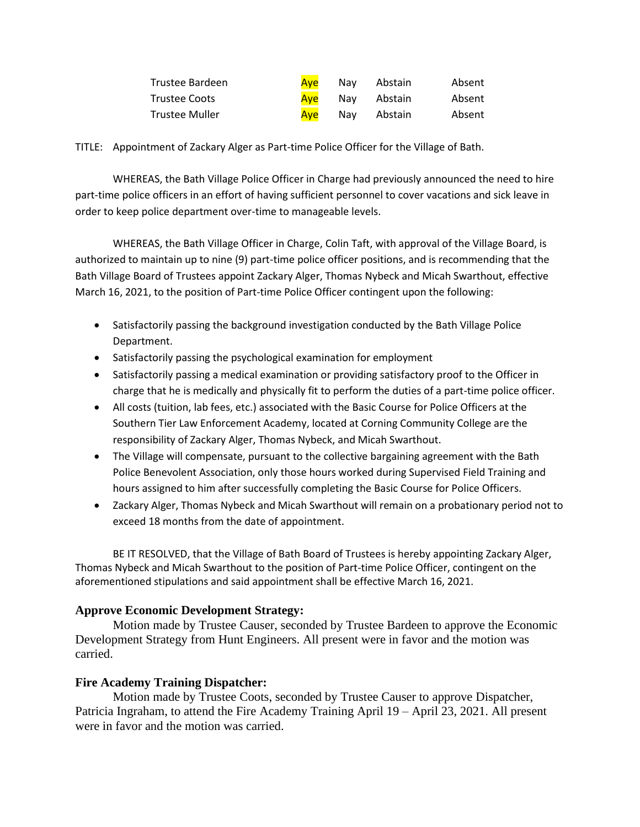| Trustee Bardeen       | Ave | Nav Abstain     | Absent |
|-----------------------|-----|-----------------|--------|
| Trustee Coots         |     | Aye Nay Abstain | Absent |
| <b>Trustee Muller</b> | Ave | Nay Abstain     | Absent |

TITLE: Appointment of Zackary Alger as Part-time Police Officer for the Village of Bath.

WHEREAS, the Bath Village Police Officer in Charge had previously announced the need to hire part-time police officers in an effort of having sufficient personnel to cover vacations and sick leave in order to keep police department over-time to manageable levels.

WHEREAS, the Bath Village Officer in Charge, Colin Taft, with approval of the Village Board, is authorized to maintain up to nine (9) part-time police officer positions, and is recommending that the Bath Village Board of Trustees appoint Zackary Alger, Thomas Nybeck and Micah Swarthout, effective March 16, 2021, to the position of Part-time Police Officer contingent upon the following:

- Satisfactorily passing the background investigation conducted by the Bath Village Police Department.
- Satisfactorily passing the psychological examination for employment
- Satisfactorily passing a medical examination or providing satisfactory proof to the Officer in charge that he is medically and physically fit to perform the duties of a part-time police officer.
- All costs (tuition, lab fees, etc.) associated with the Basic Course for Police Officers at the Southern Tier Law Enforcement Academy, located at Corning Community College are the responsibility of Zackary Alger, Thomas Nybeck, and Micah Swarthout.
- The Village will compensate, pursuant to the collective bargaining agreement with the Bath Police Benevolent Association, only those hours worked during Supervised Field Training and hours assigned to him after successfully completing the Basic Course for Police Officers.
- Zackary Alger, Thomas Nybeck and Micah Swarthout will remain on a probationary period not to exceed 18 months from the date of appointment.

BE IT RESOLVED, that the Village of Bath Board of Trustees is hereby appointing Zackary Alger, Thomas Nybeck and Micah Swarthout to the position of Part-time Police Officer, contingent on the aforementioned stipulations and said appointment shall be effective March 16, 2021.

# **Approve Economic Development Strategy:**

Motion made by Trustee Causer, seconded by Trustee Bardeen to approve the Economic Development Strategy from Hunt Engineers. All present were in favor and the motion was carried.

# **Fire Academy Training Dispatcher:**

Motion made by Trustee Coots, seconded by Trustee Causer to approve Dispatcher, Patricia Ingraham, to attend the Fire Academy Training April 19 – April 23, 2021. All present were in favor and the motion was carried.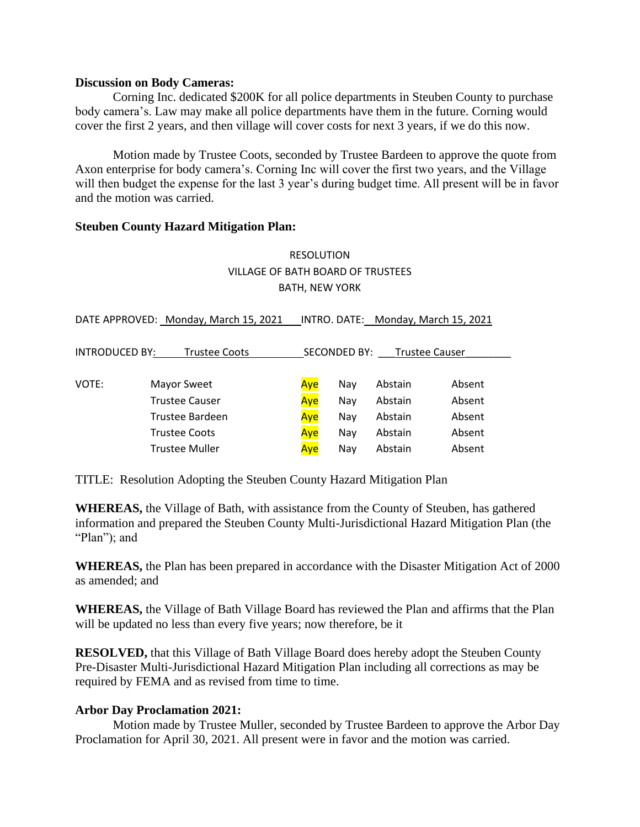### **Discussion on Body Cameras:**

Corning Inc. dedicated \$200K for all police departments in Steuben County to purchase body camera's. Law may make all police departments have them in the future. Corning would cover the first 2 years, and then village will cover costs for next 3 years, if we do this now.

Motion made by Trustee Coots, seconded by Trustee Bardeen to approve the quote from Axon enterprise for body camera's. Corning Inc will cover the first two years, and the Village will then budget the expense for the last 3 year's during budget time. All present will be in favor and the motion was carried.

# **Steuben County Hazard Mitigation Plan:**

# RESOLUTION VILLAGE OF BATH BOARD OF TRUSTEES BATH, NEW YORK

|                                        | DATE APPROVED: Monday, March 15, 2021 | INTRO. DATE: Monday, March 15, 2021 |                                              |         |        |  |
|----------------------------------------|---------------------------------------|-------------------------------------|----------------------------------------------|---------|--------|--|
| INTRODUCED BY:<br><b>Trustee Coots</b> |                                       |                                     | <b>SECONDED BY:</b><br><b>Trustee Causer</b> |         |        |  |
| VOTE:                                  | Mayor Sweet                           | Aye                                 | Nav                                          | Abstain | Absent |  |
|                                        | <b>Trustee Causer</b>                 | Aye                                 | Nay                                          | Abstain | Absent |  |
|                                        | Trustee Bardeen                       | Aye                                 | Nav                                          | Abstain | Absent |  |
|                                        | <b>Trustee Coots</b>                  | Aye                                 | Nay                                          | Abstain | Absent |  |
|                                        | <b>Trustee Muller</b>                 | Aye                                 | Nay                                          | Abstain | Absent |  |

TITLE: Resolution Adopting the Steuben County Hazard Mitigation Plan

**WHEREAS,** the Village of Bath, with assistance from the County of Steuben, has gathered information and prepared the Steuben County Multi-Jurisdictional Hazard Mitigation Plan (the "Plan"); and

**WHEREAS,** the Plan has been prepared in accordance with the Disaster Mitigation Act of 2000 as amended; and

**WHEREAS,** the Village of Bath Village Board has reviewed the Plan and affirms that the Plan will be updated no less than every five years; now therefore, be it

**RESOLVED,** that this Village of Bath Village Board does hereby adopt the Steuben County Pre-Disaster Multi-Jurisdictional Hazard Mitigation Plan including all corrections as may be required by FEMA and as revised from time to time.

# **Arbor Day Proclamation 2021:**

Motion made by Trustee Muller, seconded by Trustee Bardeen to approve the Arbor Day Proclamation for April 30, 2021. All present were in favor and the motion was carried.